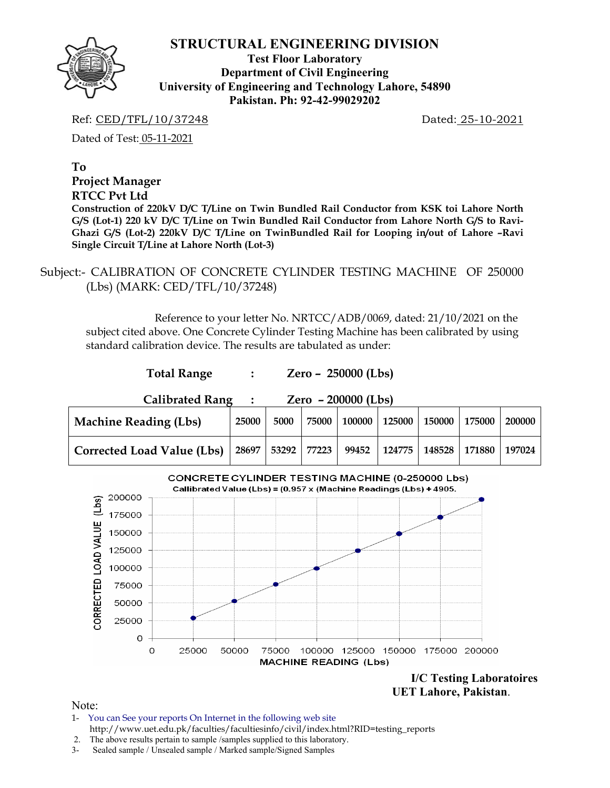**Test Floor Laboratory Department of Civil Engineering University of Engineering and Technology Lahore, 54890 Pakistan. Ph: 92-42-99029202** 

Ref: CED/TFL/10/37248 Dated: 25-10-2021

Dated of Test: 05-11-2021

**To** 

#### **Project Manager**

#### **RTCC Pvt Ltd**

**Construction of 220kV D/C T/Line on Twin Bundled Rail Conductor from KSK toi Lahore North G/S (Lot-1) 220 kV D/C T/Line on Twin Bundled Rail Conductor from Lahore North G/S to Ravi-Ghazi G/S (Lot-2) 220kV D/C T/Line on TwinBundled Rail for Looping in/out of Lahore –Ravi Single Circuit T/Line at Lahore North (Lot-3)** 

 Subject:- CALIBRATION OF CONCRETE CYLINDER TESTING MACHINE OF 250000 (Lbs) (MARK: CED/TFL/10/37248)

**Total Range : Zero – 250000 (Lbs)** 

 Reference to your letter No. NRTCC/ADB/0069, dated: 21/10/2021 on the subject cited above. One Concrete Cylinder Testing Machine has been calibrated by using standard calibration device. The results are tabulated as under:



 **UET Lahore, Pakistan**.

- 1- You can See your reports On Internet in the following web site http://www.uet.edu.pk/faculties/facultiesinfo/civil/index.html?RID=testing\_reports
- 2. The above results pertain to sample /samples supplied to this laboratory.
- 3- Sealed sample / Unsealed sample / Marked sample/Signed Samples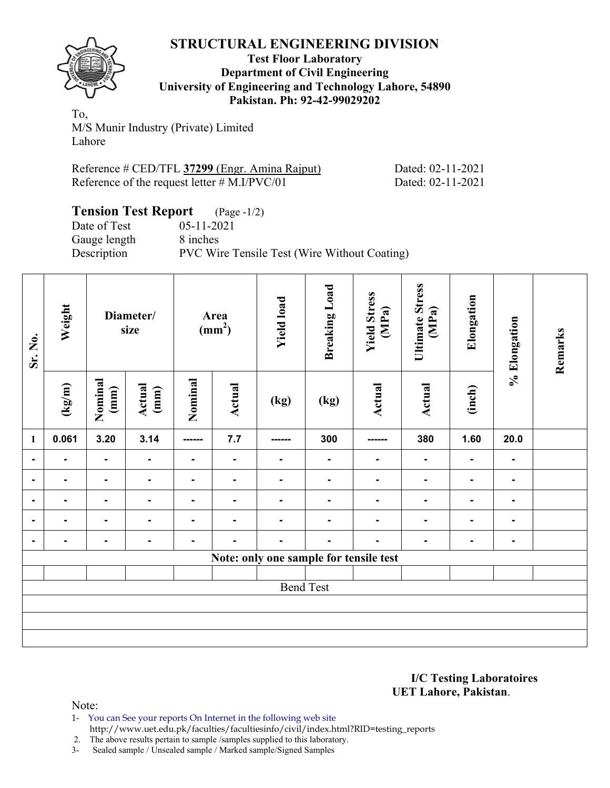

#### **Test Floor Laboratory Department of Civil Engineering University of Engineering and Technology Lahore, 54890 Pakistan. Ph: 92-42-99029202**

To, M/S Munir Industry (Private) Limited Lahore

Reference # CED/TFL **37299** (Engr. Amina Rajput) Dated: 02-11-2021 Reference of the request letter # M.I/PVC/01 Dated: 02-11-2021

#### **Tension Test Report** (Page -1/2) Date of Test 05-11-2021 Gauge length 8 inches Description PVC Wire Tensile Test (Wire Without Coating)

| Sr. No.        | Weight         |                 | Diameter/<br>size |                | Area<br>(mm <sup>2</sup> ) | <b>Yield load</b>                      | <b>Breaking Load</b> | <b>Yield Stress</b><br>(MPa) | Ultimate Stress<br>(MPa) | Elongation               | % Elongation   | Remarks |
|----------------|----------------|-----------------|-------------------|----------------|----------------------------|----------------------------------------|----------------------|------------------------------|--------------------------|--------------------------|----------------|---------|
|                | (kg/m)         | Nominal<br>(mm) | Actual<br>(mm)    | Nominal        | <b>Actual</b>              | (kg)                                   | (kg)                 | <b>Actual</b>                | <b>Actual</b>            | (inch)                   |                |         |
| $\mathbf{1}$   | 0.061          | 3.20            | 3.14              | -------        | 7.7                        | ------                                 | 300                  |                              | 380                      | 1.60                     | 20.0           |         |
| $\blacksquare$ | $\blacksquare$ | $\blacksquare$  | $\blacksquare$    | $\blacksquare$ | ۰                          | $\blacksquare$                         | $\blacksquare$       | $\blacksquare$               | ٠                        | $\blacksquare$           | $\blacksquare$ |         |
| $\blacksquare$ | $\blacksquare$ | $\blacksquare$  | $\blacksquare$    | $\blacksquare$ | $\blacksquare$             | $\blacksquare$                         | $\blacksquare$       | $\blacksquare$               | $\blacksquare$           | ۰                        | $\blacksquare$ |         |
| $\blacksquare$ | $\blacksquare$ | $\blacksquare$  | $\blacksquare$    | $\blacksquare$ | $\blacksquare$             | ٠                                      | $\blacksquare$       | $\blacksquare$               |                          | $\overline{\phantom{0}}$ | $\blacksquare$ |         |
| $\blacksquare$ | $\blacksquare$ | $\blacksquare$  | $\blacksquare$    | $\blacksquare$ | $\blacksquare$             | $\blacksquare$                         | $\blacksquare$       | $\blacksquare$               |                          | $\blacksquare$           | $\blacksquare$ |         |
| $\blacksquare$ | $\blacksquare$ | $\blacksquare$  | $\blacksquare$    | ٠              | $\blacksquare$             | $\blacksquare$                         | $\blacksquare$       | $\blacksquare$               | $\blacksquare$           | ٠                        | $\blacksquare$ |         |
|                |                |                 |                   |                |                            | Note: only one sample for tensile test |                      |                              |                          |                          |                |         |
|                |                |                 |                   |                |                            |                                        |                      |                              |                          |                          |                |         |
|                |                |                 |                   |                |                            |                                        | <b>Bend Test</b>     |                              |                          |                          |                |         |
|                |                |                 |                   |                |                            |                                        |                      |                              |                          |                          |                |         |
|                |                |                 |                   |                |                            |                                        |                      |                              |                          |                          |                |         |
|                |                |                 |                   |                |                            |                                        |                      |                              |                          |                          |                |         |

**I/C Testing Laboratoires UET Lahore, Pakistan**.

Note:

1- You can See your reports On Internet in the following web site http://www.uet.edu.pk/faculties/facultiesinfo/civil/index.html?RID=testing\_reports

2. The above results pertain to sample /samples supplied to this laboratory.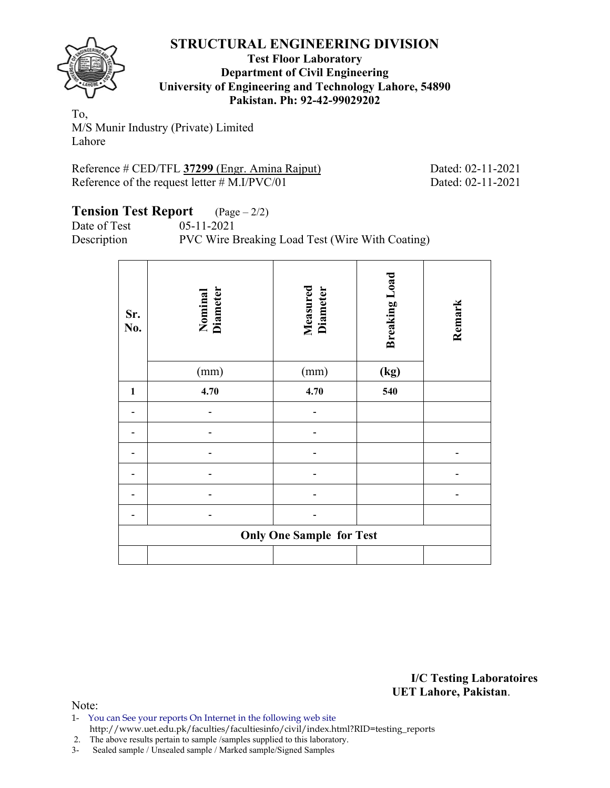

#### **Test Floor Laboratory Department of Civil Engineering University of Engineering and Technology Lahore, 54890 Pakistan. Ph: 92-42-99029202**

To, M/S Munir Industry (Private) Limited Lahore

Reference # CED/TFL 37299 (Engr. Amina Rajput) Dated: 02-11-2021 Reference of the request letter  $#$  M.I/PVC/01 Dated: 02-11-2021

#### **Tension Test Report** (Page – 2/2) Date of Test 05-11-2021

Description PVC Wire Breaking Load Test (Wire With Coating)

| Sr.<br>No.   | Nominal<br>Diameter             | <b>Measured</b><br>Diameter | <b>Breaking Load</b> | Remark |  |  |  |  |  |  |
|--------------|---------------------------------|-----------------------------|----------------------|--------|--|--|--|--|--|--|
|              | (mm)                            | (mm)                        | (kg)                 |        |  |  |  |  |  |  |
| $\mathbf{1}$ | 4.70                            | 4.70                        | 540                  |        |  |  |  |  |  |  |
|              |                                 |                             |                      |        |  |  |  |  |  |  |
|              |                                 |                             |                      |        |  |  |  |  |  |  |
|              |                                 |                             |                      |        |  |  |  |  |  |  |
|              |                                 |                             |                      |        |  |  |  |  |  |  |
|              |                                 |                             |                      |        |  |  |  |  |  |  |
|              |                                 |                             |                      |        |  |  |  |  |  |  |
|              | <b>Only One Sample for Test</b> |                             |                      |        |  |  |  |  |  |  |
|              |                                 |                             |                      |        |  |  |  |  |  |  |

**I/C Testing Laboratoires UET Lahore, Pakistan**.

Note:

1- You can See your reports On Internet in the following web site http://www.uet.edu.pk/faculties/facultiesinfo/civil/index.html?RID=testing\_reports

2. The above results pertain to sample /samples supplied to this laboratory.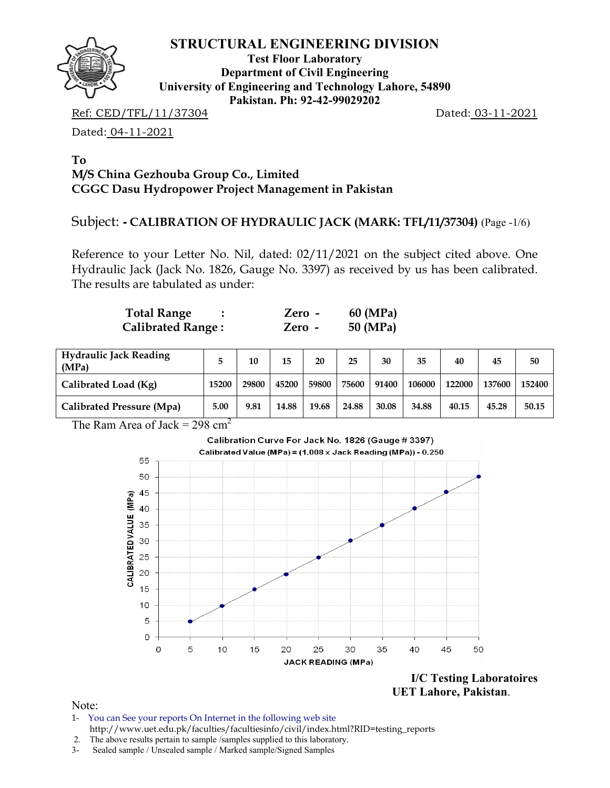

**Test Floor Laboratory Department of Civil Engineering University of Engineering and Technology Lahore, 54890 Pakistan. Ph: 92-42-99029202** 

Ref: CED/TFL/11/37304 Dated: 03-11-2021

Dated: 04-11-2021

#### **To M/S China Gezhouba Group Co., Limited CGGC Dasu Hydropower Project Management in Pakistan**

## Subject: **- CALIBRATION OF HYDRAULIC JACK (MARK: TFL/11/37304)** (Page -1/6)

Reference to your Letter No. Nil, dated: 02/11/2021 on the subject cited above. One Hydraulic Jack (Jack No. 1826, Gauge No. 3397) as received by us has been calibrated. The results are tabulated as under:

| <b>Total Range</b>       | Zero - | 60 (MPa) |
|--------------------------|--------|----------|
| <b>Calibrated Range:</b> | Zero - | 50 (MPa) |

| <b>Hydraulic Jack Reading</b><br>(MPa) |       | 10    | 15    | 20    | 25    | 30    | 35     | 40     | 45     | 50     |
|----------------------------------------|-------|-------|-------|-------|-------|-------|--------|--------|--------|--------|
| Calibrated Load (Kg)                   | 15200 | 29800 | 45200 | 59800 | 75600 | 91400 | 106000 | 122000 | 137600 | 152400 |
| <b>Calibrated Pressure (Mpa)</b>       | 5.00  | 9.81  | 14.88 | 19.68 | 24.88 | 30.08 | 34.88  | 40.15  | 45.28  | 50.15  |

The Ram Area of Jack = 298 cm<sup>2</sup>



 **UET Lahore, Pakistan**.

- 1- You can See your reports On Internet in the following web site http://www.uet.edu.pk/faculties/facultiesinfo/civil/index.html?RID=testing\_reports
- 2. The above results pertain to sample /samples supplied to this laboratory.
- 3- Sealed sample / Unsealed sample / Marked sample/Signed Samples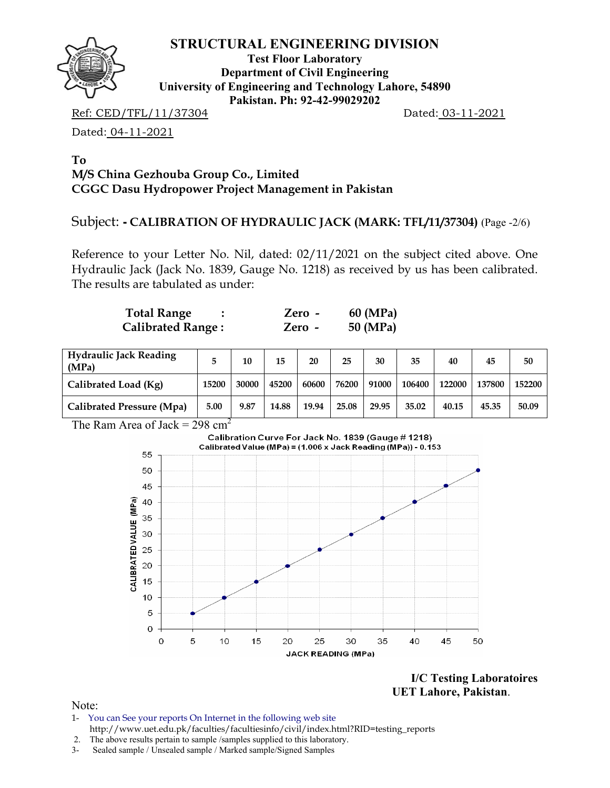

**Test Floor Laboratory Department of Civil Engineering University of Engineering and Technology Lahore, 54890 Pakistan. Ph: 92-42-99029202** 

Ref: CED/TFL/11/37304 Dated: 03-11-2021

Dated: 04-11-2021

#### **To M/S China Gezhouba Group Co., Limited CGGC Dasu Hydropower Project Management in Pakistan**

## Subject: **- CALIBRATION OF HYDRAULIC JACK (MARK: TFL/11/37304)** (Page -2/6)

Reference to your Letter No. Nil, dated: 02/11/2021 on the subject cited above. One Hydraulic Jack (Jack No. 1839, Gauge No. 1218) as received by us has been calibrated. The results are tabulated as under:

| <b>Total Range</b>       | Zero -   | 60 (MPa) |
|--------------------------|----------|----------|
| <b>Calibrated Range:</b> | $Zero -$ | 50 (MPa) |

| <b>Hydraulic Jack Reading</b><br>(MPa) |       | 10    | 15    | 20    | 25    | 30    | 35     | 40     | 45     | 50     |
|----------------------------------------|-------|-------|-------|-------|-------|-------|--------|--------|--------|--------|
| Calibrated Load (Kg)                   | 15200 | 30000 | 45200 | 60600 | 76200 | 91000 | 106400 | 122000 | 137800 | 152200 |
| Calibrated Pressure (Mpa)              | 5.00  | 9.87  | 14.88 | 19.94 | 25.08 | 29.95 | 35.02  | 40.15  | 45.35  | 50.09  |

The Ram Area of Jack =  $298 \text{ cm}^2$ 



**I/C Testing Laboratoires UET Lahore, Pakistan**.

- 1- You can See your reports On Internet in the following web site http://www.uet.edu.pk/faculties/facultiesinfo/civil/index.html?RID=testing\_reports
- 2. The above results pertain to sample /samples supplied to this laboratory.
- 3- Sealed sample / Unsealed sample / Marked sample/Signed Samples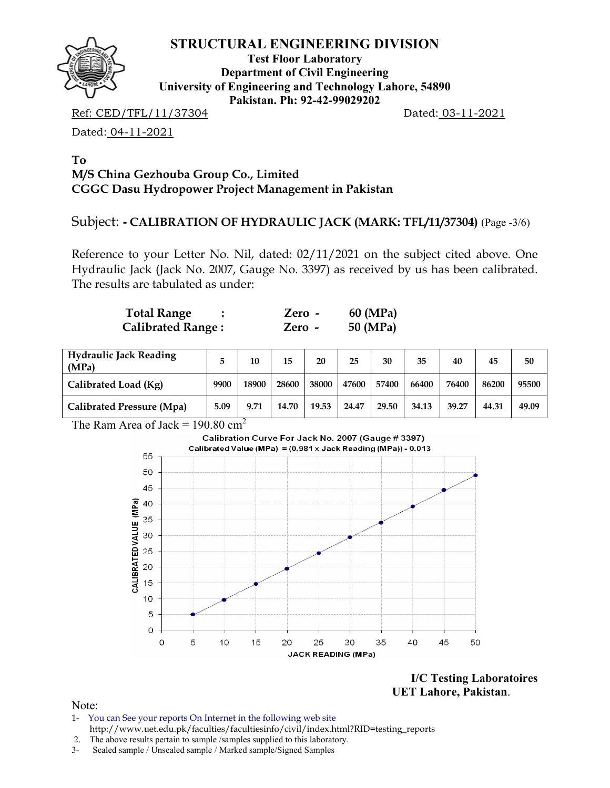

**Test Floor Laboratory Department of Civil Engineering University of Engineering and Technology Lahore, 54890 Pakistan. Ph: 92-42-99029202** 

Ref: CED/TFL/11/37304 Dated: 03-11-2021

Dated: 04-11-2021

#### **To M/S China Gezhouba Group Co., Limited CGGC Dasu Hydropower Project Management in Pakistan**

## Subject: **- CALIBRATION OF HYDRAULIC JACK (MARK: TFL/11/37304)** (Page -3/6)

Reference to your Letter No. Nil, dated: 02/11/2021 on the subject cited above. One Hydraulic Jack (Jack No. 2007, Gauge No. 3397) as received by us has been calibrated. The results are tabulated as under:

| <b>Total Range</b>       | Zero - | 60 (MPa) |
|--------------------------|--------|----------|
| <b>Calibrated Range:</b> | Zero - | 50 (MPa) |

| <b>Hydraulic Jack Reading</b><br>(MPa) |      | 10    | 15    | 20    | 25    | 30    | 35    | 40    | 45    | 50    |
|----------------------------------------|------|-------|-------|-------|-------|-------|-------|-------|-------|-------|
| Calibrated Load (Kg)                   | 9900 | 18900 | 28600 | 38000 | 47600 | 57400 | 66400 | 76400 | 86200 | 95500 |
| Calibrated Pressure (Mpa)              | 5.09 | 9.71  | 14.70 | 19.53 | 24.47 | 29.50 | 34.13 | 39.27 | 44.31 | 49.09 |

The Ram Area of Jack =  $190.80 \text{ cm}^2$ 



**I/C Testing Laboratoires UET Lahore, Pakistan**.

- 1- You can See your reports On Internet in the following web site http://www.uet.edu.pk/faculties/facultiesinfo/civil/index.html?RID=testing\_reports
- 2. The above results pertain to sample /samples supplied to this laboratory.
- 3- Sealed sample / Unsealed sample / Marked sample/Signed Samples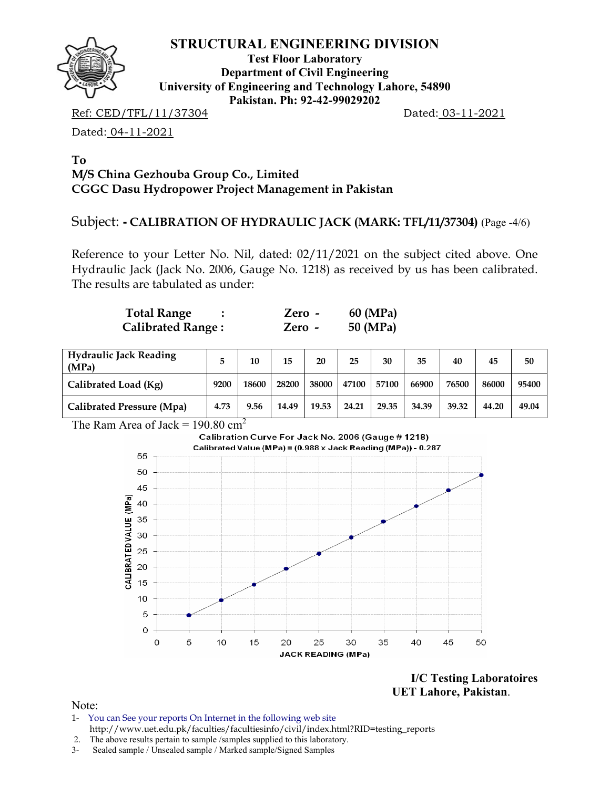

**Test Floor Laboratory Department of Civil Engineering University of Engineering and Technology Lahore, 54890 Pakistan. Ph: 92-42-99029202** 

Ref: CED/TFL/11/37304 Dated: 03-11-2021

Dated: 04-11-2021

#### **To M/S China Gezhouba Group Co., Limited CGGC Dasu Hydropower Project Management in Pakistan**

## Subject: **- CALIBRATION OF HYDRAULIC JACK (MARK: TFL/11/37304)** (Page -4/6)

Reference to your Letter No. Nil, dated: 02/11/2021 on the subject cited above. One Hydraulic Jack (Jack No. 2006, Gauge No. 1218) as received by us has been calibrated. The results are tabulated as under:

| <b>Total Range</b>       | Zero - | 60 (MPa) |
|--------------------------|--------|----------|
| <b>Calibrated Range:</b> | Zero - | 50 (MPa) |

| <b>Hydraulic Jack Reading</b><br>(MPa) |      | 10    | 15    | 20    | 25    | 30    | 35    | 40    | 45    | 50    |
|----------------------------------------|------|-------|-------|-------|-------|-------|-------|-------|-------|-------|
| Calibrated Load (Kg)                   | 9200 | 18600 | 28200 | 38000 | 47100 | 57100 | 66900 | 76500 | 86000 | 95400 |
| <b>Calibrated Pressure (Mpa)</b>       | 4.73 | 9.56  | 14.49 | 19.53 | 24.21 | 29.35 | 34.39 | 39.32 | 44.20 | 49.04 |

The Ram Area of Jack =  $190.80 \text{ cm}^2$ 



**I/C Testing Laboratoires UET Lahore, Pakistan**.

- 1- You can See your reports On Internet in the following web site http://www.uet.edu.pk/faculties/facultiesinfo/civil/index.html?RID=testing\_reports
- 2. The above results pertain to sample /samples supplied to this laboratory.
- 3- Sealed sample / Unsealed sample / Marked sample/Signed Samples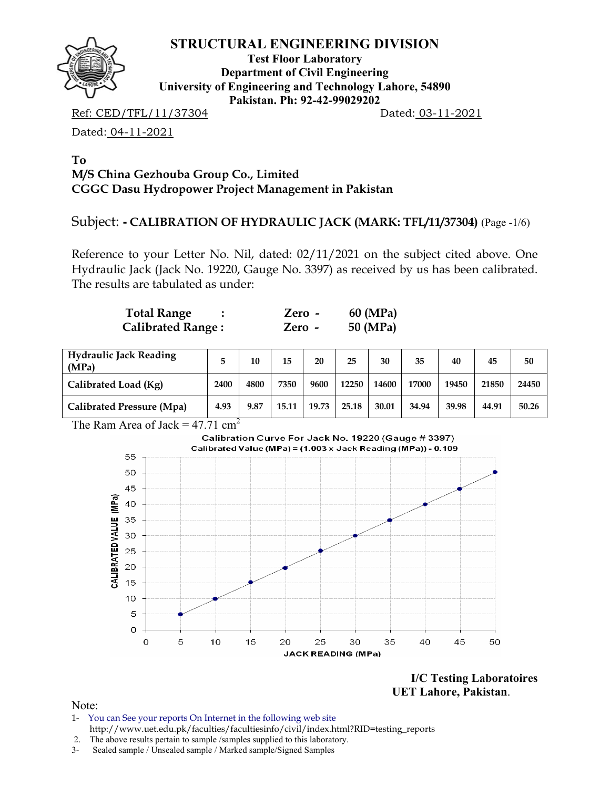

**Test Floor Laboratory Department of Civil Engineering University of Engineering and Technology Lahore, 54890 Pakistan. Ph: 92-42-99029202** 

Ref: CED/TFL/11/37304 Dated: 03-11-2021

Dated: 04-11-2021

#### **To M/S China Gezhouba Group Co., Limited CGGC Dasu Hydropower Project Management in Pakistan**

## Subject: **- CALIBRATION OF HYDRAULIC JACK (MARK: TFL/11/37304)** (Page -1/6)

Reference to your Letter No. Nil, dated: 02/11/2021 on the subject cited above. One Hydraulic Jack (Jack No. 19220, Gauge No. 3397) as received by us has been calibrated. The results are tabulated as under:

| <b>Total Range</b>       | Zero - | 60 (MPa) |
|--------------------------|--------|----------|
| <b>Calibrated Range:</b> | Zero - | 50 (MPa) |

| <b>Hydraulic Jack Reading</b><br>(MPa) |      | 10   | 15    | 20    | 25    | 30    | 35    | 40    | 45    | 50    |
|----------------------------------------|------|------|-------|-------|-------|-------|-------|-------|-------|-------|
| Calibrated Load (Kg)                   | 2400 | 4800 | 7350  | 9600  | 12250 | 14600 | 17000 | 19450 | 21850 | 24450 |
| Calibrated Pressure (Mpa)              | 4.93 | 9.87 | 15.11 | 19.73 | 25.18 | 30.01 | 34.94 | 39.98 | 44.91 | 50.26 |

The Ram Area of Jack =  $47.71 \text{ cm}^2$ 



**I/C Testing Laboratoires UET Lahore, Pakistan**.

- 1- You can See your reports On Internet in the following web site http://www.uet.edu.pk/faculties/facultiesinfo/civil/index.html?RID=testing\_reports
- 2. The above results pertain to sample /samples supplied to this laboratory.
- 3- Sealed sample / Unsealed sample / Marked sample/Signed Samples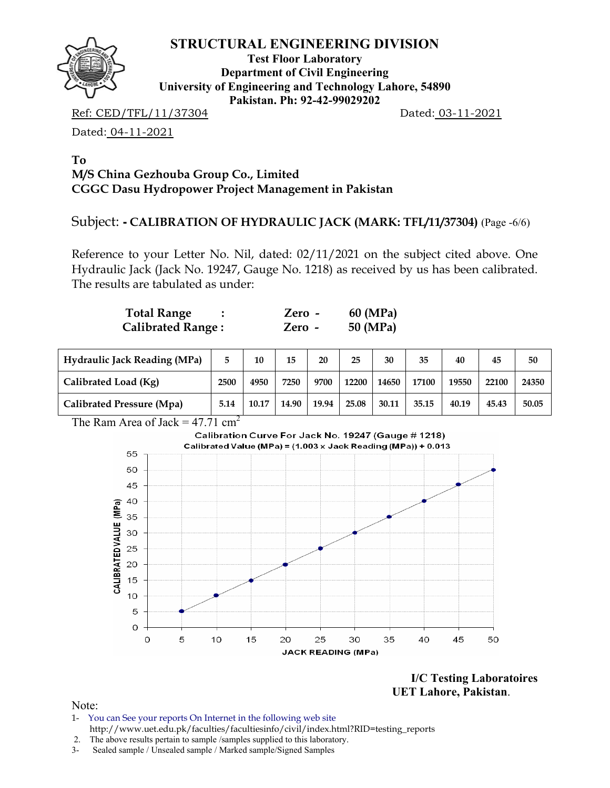

**Test Floor Laboratory Department of Civil Engineering University of Engineering and Technology Lahore, 54890 Pakistan. Ph: 92-42-99029202** 

Ref: CED/TFL/11/37304 Dated: 03-11-2021

Dated: 04-11-2021

#### **To M/S China Gezhouba Group Co., Limited CGGC Dasu Hydropower Project Management in Pakistan**

## Subject: **- CALIBRATION OF HYDRAULIC JACK (MARK: TFL/11/37304)** (Page -6/6)

Reference to your Letter No. Nil, dated: 02/11/2021 on the subject cited above. One Hydraulic Jack (Jack No. 19247, Gauge No. 1218) as received by us has been calibrated. The results are tabulated as under:

| <b>Total Range</b>       | Zero -   | 60 (MPa) |
|--------------------------|----------|----------|
| <b>Calibrated Range:</b> | $Zero -$ | 50 (MPa) |

| <b>Hydraulic Jack Reading (MPa)</b> | 5    | 10    | 15    | 20    | 25    | 30    | 35    | 40    | 45    | 50    |
|-------------------------------------|------|-------|-------|-------|-------|-------|-------|-------|-------|-------|
| Calibrated Load (Kg)                | 2500 | 4950  | 7250  | 9700  | 12200 | 14650 | 17100 | 19550 | 22100 | 24350 |
| Calibrated Pressure (Mpa)           | 5.14 | 10.17 | 14.90 | 19.94 | 25.08 | 30.11 | 35.15 | 40.19 | 45.43 | 50.05 |

The Ram Area of Jack =  $47.71 \text{ cm}^2$ 



**I/C Testing Laboratoires UET Lahore, Pakistan**.

- 1- You can See your reports On Internet in the following web site http://www.uet.edu.pk/faculties/facultiesinfo/civil/index.html?RID=testing\_reports
- 2. The above results pertain to sample /samples supplied to this laboratory.
- 3- Sealed sample / Unsealed sample / Marked sample/Signed Samples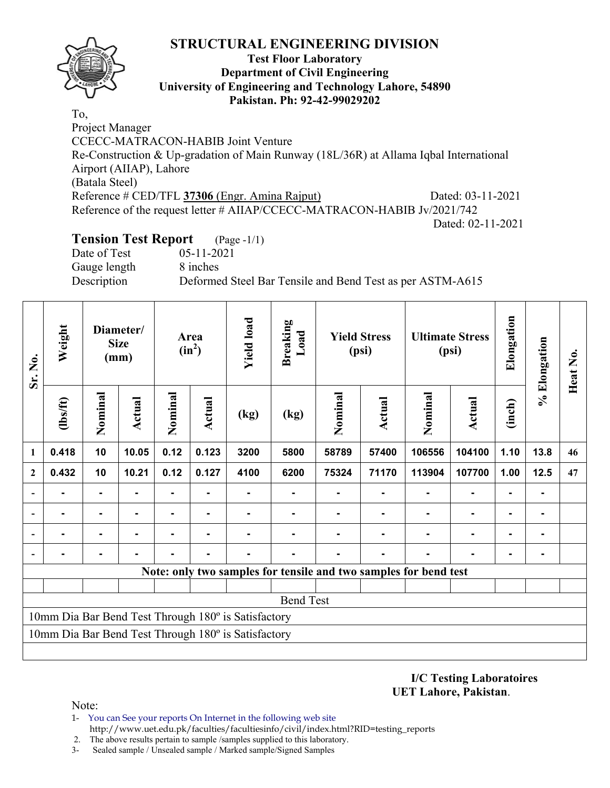

#### **Test Floor Laboratory Department of Civil Engineering University of Engineering and Technology Lahore, 54890 Pakistan. Ph: 92-42-99029202**

To, Project Manager CCECC-MATRACON-HABIB Joint Venture Re-Construction & Up-gradation of Main Runway (18L/36R) at Allama Iqbal International Airport (AIIAP), Lahore (Batala Steel) Reference # CED/TFL 37306 (Engr. Amina Rajput) Dated: 03-11-2021 Reference of the request letter # AIIAP/CCECC-MATRACON-HABIB Jv/2021/742 Dated: 02-11-2021

## **Tension Test Report** (Page -1/1)

Date of Test 05-11-2021 Gauge length 8 inches

Description Deformed Steel Bar Tensile and Bend Test as per ASTM-A615

| Sr. No.                                             | Weight                                              |                | Diameter/<br><b>Size</b><br>(mm) | Area<br>$(in^2)$ |                |      |                  | <b>Yield load</b> | <b>Breaking</b><br>Load |                                                                  | <b>Yield Stress</b><br>(psi) |                | <b>Ultimate Stress</b><br>(psi) | Elongation | % Elongation | Heat No. |
|-----------------------------------------------------|-----------------------------------------------------|----------------|----------------------------------|------------------|----------------|------|------------------|-------------------|-------------------------|------------------------------------------------------------------|------------------------------|----------------|---------------------------------|------------|--------------|----------|
|                                                     | (1bs/ft)                                            | Nominal        | Actual                           | Nominal          | <b>Actual</b>  | (kg) | (kg)             | Nominal           | <b>Actual</b>           | Nominal                                                          | Actual                       | (inch)         |                                 |            |              |          |
| 1                                                   | 0.418                                               | 10             | 10.05                            | 0.12             | 0.123          | 3200 | 5800             | 58789             | 57400                   | 106556                                                           | 104100                       | 1.10           | 13.8                            | 46         |              |          |
| $\mathbf{2}$                                        | 0.432                                               | 10             | 10.21                            | 0.12             | 0.127          | 4100 | 6200             | 75324             | 71170                   | 113904                                                           | 107700                       | 1.00           | 12.5                            | 47         |              |          |
|                                                     | $\blacksquare$                                      | $\blacksquare$ | $\blacksquare$                   | ۰                | $\blacksquare$ |      |                  |                   | ٠                       | $\blacksquare$                                                   | ٠                            | $\blacksquare$ |                                 |            |              |          |
|                                                     | $\blacksquare$                                      | $\blacksquare$ | $\blacksquare$                   | Ξ.               | $\blacksquare$ |      |                  |                   | ۰                       |                                                                  | ۰                            | $\blacksquare$ |                                 |            |              |          |
|                                                     |                                                     | ۰              |                                  |                  |                |      |                  |                   |                         |                                                                  | $\blacksquare$               |                |                                 |            |              |          |
|                                                     |                                                     | ۰              |                                  |                  |                |      |                  |                   |                         |                                                                  |                              |                |                                 |            |              |          |
|                                                     |                                                     |                |                                  |                  |                |      |                  |                   |                         | Note: only two samples for tensile and two samples for bend test |                              |                |                                 |            |              |          |
|                                                     |                                                     |                |                                  |                  |                |      |                  |                   |                         |                                                                  |                              |                |                                 |            |              |          |
|                                                     |                                                     |                |                                  |                  |                |      | <b>Bend Test</b> |                   |                         |                                                                  |                              |                |                                 |            |              |          |
| 10mm Dia Bar Bend Test Through 180° is Satisfactory |                                                     |                |                                  |                  |                |      |                  |                   |                         |                                                                  |                              |                |                                 |            |              |          |
|                                                     | 10mm Dia Bar Bend Test Through 180° is Satisfactory |                |                                  |                  |                |      |                  |                   |                         |                                                                  |                              |                |                                 |            |              |          |
|                                                     |                                                     |                |                                  |                  |                |      |                  |                   |                         |                                                                  |                              |                |                                 |            |              |          |

**I/C Testing Laboratoires UET Lahore, Pakistan**.

- 1- You can See your reports On Internet in the following web site http://www.uet.edu.pk/faculties/facultiesinfo/civil/index.html?RID=testing\_reports
- 2. The above results pertain to sample /samples supplied to this laboratory.
- 3- Sealed sample / Unsealed sample / Marked sample/Signed Samples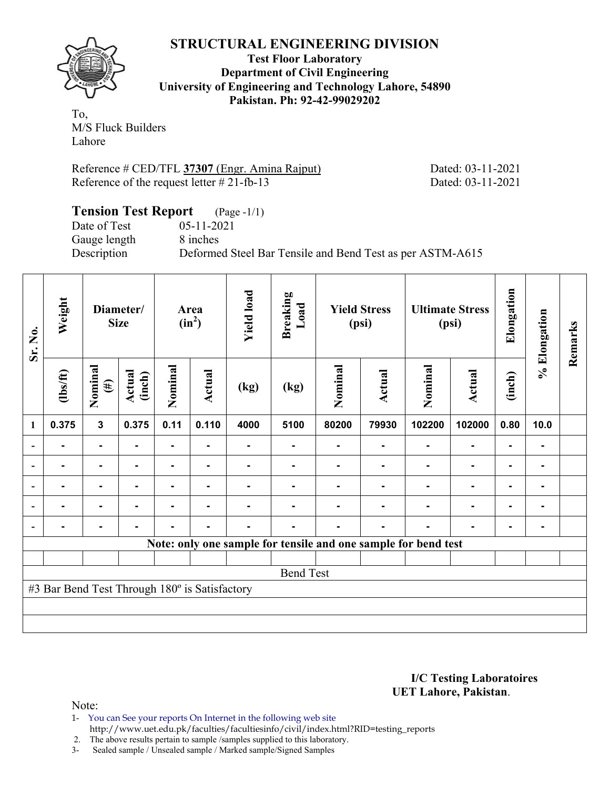

**Test Floor Laboratory Department of Civil Engineering University of Engineering and Technology Lahore, 54890 Pakistan. Ph: 92-42-99029202** 

To, M/S Fluck Builders Lahore

Reference # CED/TFL 37307 (Engr. Amina Rajput) Dated: 03-11-2021 Reference of the request letter  $# 21$ -fb-13 Dated: 03-11-2021

| <b>Tension Test Report</b> (Page -1/1) |                                                           |
|----------------------------------------|-----------------------------------------------------------|
| Date of Test                           | $05 - 11 - 2021$                                          |
| Gauge length                           | 8 inches                                                  |
| Description                            | Deformed Steel Bar Tensile and Bend Test as per ASTM-A615 |

| Sr. No. | Weight                                        |                   | Diameter/<br><b>Size</b> |                | Area<br>$(in^2)$ | <b>Yield load</b> | <b>Breaking</b><br>Load                                        |         | <b>Yield Stress</b><br>(psi) |         | <b>Ultimate Stress</b><br>(psi) | Elongation | % Elongation   | Remarks |
|---------|-----------------------------------------------|-------------------|--------------------------|----------------|------------------|-------------------|----------------------------------------------------------------|---------|------------------------------|---------|---------------------------------|------------|----------------|---------|
|         | $\frac{2}{10}$                                | Nominal<br>$(\#)$ | Actual<br>(inch)         | Nominal        | <b>Actual</b>    | (kg)              | (kg)                                                           | Nominal | Actual                       | Nominal | <b>Actual</b>                   | (inch)     |                |         |
| 1       | 0.375                                         | $\mathbf{3}$      | 0.375                    | 0.11           | 0.110            | 4000              | 5100                                                           | 80200   | 79930                        | 102200  | 102000                          | 0.80       | 10.0           |         |
|         |                                               | $\blacksquare$    |                          | $\blacksquare$ | ۰                |                   | ۰                                                              |         |                              |         |                                 |            | ۰              |         |
|         |                                               |                   |                          |                |                  |                   |                                                                |         |                              |         |                                 |            | $\blacksquare$ |         |
|         |                                               | $\blacksquare$    |                          |                |                  |                   |                                                                |         |                              |         |                                 |            | ۰              |         |
|         |                                               | $\blacksquare$    | -                        |                | ۰.               |                   |                                                                |         |                              |         |                                 | ۰          | ۰.             |         |
|         |                                               | $\blacksquare$    |                          | $\blacksquare$ | ۰                | $\blacksquare$    | ۰                                                              |         |                              |         |                                 | ۰          | ۰              |         |
|         |                                               |                   |                          |                |                  |                   | Note: only one sample for tensile and one sample for bend test |         |                              |         |                                 |            |                |         |
|         |                                               |                   |                          |                |                  |                   |                                                                |         |                              |         |                                 |            |                |         |
|         |                                               |                   |                          |                |                  |                   | <b>Bend Test</b>                                               |         |                              |         |                                 |            |                |         |
|         | #3 Bar Bend Test Through 180° is Satisfactory |                   |                          |                |                  |                   |                                                                |         |                              |         |                                 |            |                |         |
|         |                                               |                   |                          |                |                  |                   |                                                                |         |                              |         |                                 |            |                |         |
|         |                                               |                   |                          |                |                  |                   |                                                                |         |                              |         |                                 |            |                |         |

**I/C Testing Laboratoires UET Lahore, Pakistan**.

Note:

1- You can See your reports On Internet in the following web site http://www.uet.edu.pk/faculties/facultiesinfo/civil/index.html?RID=testing\_reports

2. The above results pertain to sample /samples supplied to this laboratory.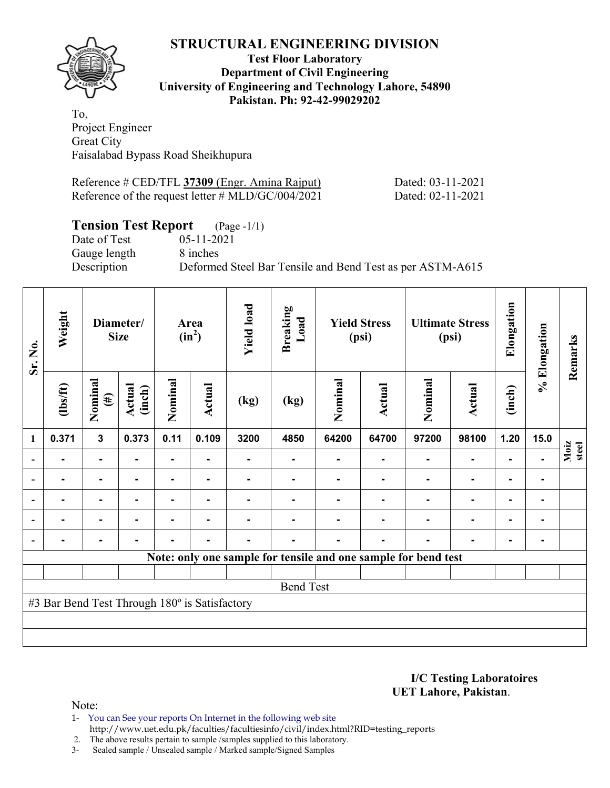

#### **Test Floor Laboratory Department of Civil Engineering University of Engineering and Technology Lahore, 54890 Pakistan. Ph: 92-42-99029202**

To, Project Engineer Great City Faisalabad Bypass Road Sheikhupura

| Reference # CED/TFL 37309 (Engr. Amina Rajput)              | Dated: 03-11-2021 |
|-------------------------------------------------------------|-------------------|
| Reference of the request letter $\# \text{MLD/GC}/004/2021$ | Dated: 02-11-2021 |

## **Tension Test Report** (Page -1/1)

Gauge length 8 inches

Date of Test 05-11-2021 Description Deformed Steel Bar Tensile and Bend Test as per ASTM-A615

| Sr. No. | Weight                                        | Diameter/<br><b>Size</b> |                  |                |        |      | Area<br>$(in^2)$                                               | <b>Yield load</b> | <b>Breaking</b><br>Load |         | <b>Yield Stress</b><br>(psi) |        | <b>Ultimate Stress</b><br>(psi) | Elongation    | % Elongation | Remarks |
|---------|-----------------------------------------------|--------------------------|------------------|----------------|--------|------|----------------------------------------------------------------|-------------------|-------------------------|---------|------------------------------|--------|---------------------------------|---------------|--------------|---------|
|         | $\frac{2}{10}$                                | Nominal<br>$(\#)$        | Actual<br>(inch) | Nominal        | Actual | (kg) | (kg)                                                           | Nominal           | Actual                  | Nominal | Actual                       | (inch) |                                 |               |              |         |
| 1       | 0.371                                         | $\mathbf{3}$             | 0.373            | 0.11           | 0.109  | 3200 | 4850                                                           | 64200             | 64700                   | 97200   | 98100                        | 1.20   | 15.0                            |               |              |         |
|         |                                               |                          |                  |                |        |      |                                                                |                   |                         |         |                              |        |                                 | Moiz<br>steel |              |         |
|         |                                               |                          |                  |                |        |      |                                                                |                   |                         |         |                              |        | $\blacksquare$                  |               |              |         |
|         |                                               |                          |                  |                |        |      |                                                                |                   |                         |         |                              |        | ۰                               |               |              |         |
|         |                                               | $\blacksquare$           |                  |                | ۰      |      |                                                                |                   |                         |         |                              |        | ۰                               |               |              |         |
|         |                                               | $\blacksquare$           |                  | $\blacksquare$ | ۰.     |      | ۰.                                                             |                   |                         |         |                              |        | ۰                               |               |              |         |
|         |                                               |                          |                  |                |        |      | Note: only one sample for tensile and one sample for bend test |                   |                         |         |                              |        |                                 |               |              |         |
|         |                                               |                          |                  |                |        |      |                                                                |                   |                         |         |                              |        |                                 |               |              |         |
|         |                                               |                          |                  |                |        |      | <b>Bend Test</b>                                               |                   |                         |         |                              |        |                                 |               |              |         |
|         | #3 Bar Bend Test Through 180° is Satisfactory |                          |                  |                |        |      |                                                                |                   |                         |         |                              |        |                                 |               |              |         |
|         |                                               |                          |                  |                |        |      |                                                                |                   |                         |         |                              |        |                                 |               |              |         |
|         |                                               |                          |                  |                |        |      |                                                                |                   |                         |         |                              |        |                                 |               |              |         |

**I/C Testing Laboratoires UET Lahore, Pakistan**.

Note:

1- You can See your reports On Internet in the following web site http://www.uet.edu.pk/faculties/facultiesinfo/civil/index.html?RID=testing\_reports

2. The above results pertain to sample /samples supplied to this laboratory.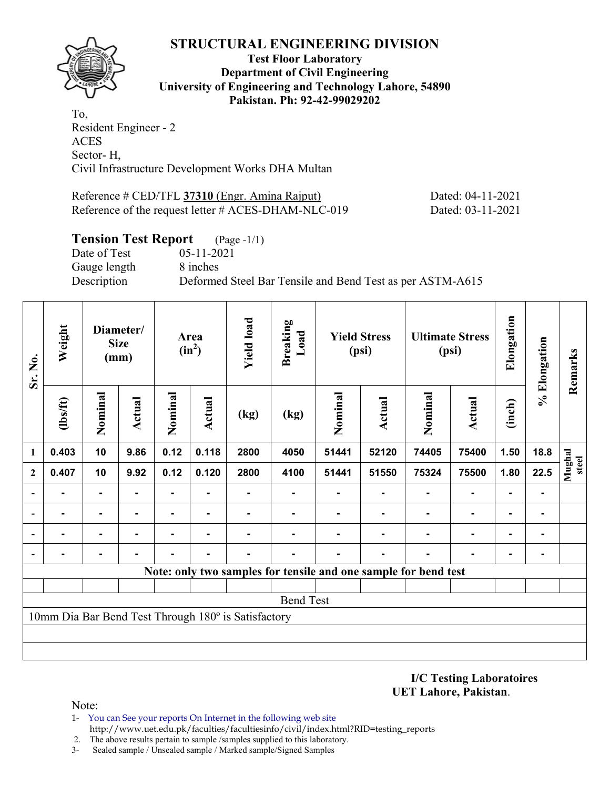

**Test Floor Laboratory Department of Civil Engineering University of Engineering and Technology Lahore, 54890 Pakistan. Ph: 92-42-99029202** 

To, Resident Engineer - 2 ACES Sector- H, Civil Infrastructure Development Works DHA Multan

| Reference # CED/TFL 37310 (Engr. Amina Rajput)         | Dated: 04-11-2021 |
|--------------------------------------------------------|-------------------|
| Reference of the request letter $\#$ ACES-DHAM-NLC-019 | Dated: 03-11-2021 |

### **Tension Test Report** (Page -1/1)

Date of Test 05-11-2021 Gauge length 8 inches

Description Deformed Steel Bar Tensile and Bend Test as per ASTM-A615

| Sr. No.<br>1             | Weight         |                | Diameter/<br><b>Size</b><br>(mm) | Area<br>$(in^2)$ |                | <b>Yield load</b>                                   | <b>Breaking</b><br>Load | <b>Yield Stress</b><br>(psi) |                                                                 | <b>Ultimate Stress</b><br>(psi) |                | Elongation     | % Elongation | Remarks         |
|--------------------------|----------------|----------------|----------------------------------|------------------|----------------|-----------------------------------------------------|-------------------------|------------------------------|-----------------------------------------------------------------|---------------------------------|----------------|----------------|--------------|-----------------|
|                          | (1bs/ft)       | Nominal        | Actual                           | Nominal          | <b>Actual</b>  | (kg)                                                | (kg)                    | Nominal                      | <b>Actual</b>                                                   | Nominal                         | <b>Actual</b>  | (inch)         |              |                 |
|                          | 0.403          | 10             | 9.86                             | 0.12             | 0.118          | 2800                                                | 4050                    | 51441                        | 52120                                                           | 74405                           | 75400          | 1.50           | 18.8         |                 |
| $\mathbf{2}$             | 0.407          | 10             | 9.92                             | 0.12             | 0.120          | 2800                                                | 4100                    | 51441                        | 51550                                                           | 75324                           | 75500          | 1.80           | 22.5         | Mughal<br>steel |
| $\blacksquare$           |                | $\blacksquare$ |                                  |                  |                |                                                     |                         |                              |                                                                 |                                 |                |                | ۰            |                 |
| $\overline{\phantom{a}}$ |                | $\blacksquare$ |                                  |                  |                |                                                     |                         |                              |                                                                 |                                 |                |                | ۰            |                 |
| $\blacksquare$           | $\blacksquare$ | ۰              | ۰                                | Ξ.               | $\blacksquare$ |                                                     | $\blacksquare$          |                              |                                                                 |                                 | $\blacksquare$ | $\blacksquare$ | ۰.           |                 |
|                          | -              | $\blacksquare$ |                                  | -                | $\blacksquare$ |                                                     |                         |                              |                                                                 | $\blacksquare$                  |                | $\blacksquare$ | ۰            |                 |
|                          |                |                |                                  |                  |                |                                                     |                         |                              | Note: only two samples for tensile and one sample for bend test |                                 |                |                |              |                 |
|                          |                |                |                                  |                  |                |                                                     |                         |                              |                                                                 |                                 |                |                |              |                 |
|                          |                |                |                                  |                  |                |                                                     | <b>Bend Test</b>        |                              |                                                                 |                                 |                |                |              |                 |
|                          |                |                |                                  |                  |                | 10mm Dia Bar Bend Test Through 180° is Satisfactory |                         |                              |                                                                 |                                 |                |                |              |                 |
|                          |                |                |                                  |                  |                |                                                     |                         |                              |                                                                 |                                 |                |                |              |                 |
|                          |                |                |                                  |                  |                |                                                     |                         |                              |                                                                 |                                 |                |                |              |                 |

**I/C Testing Laboratoires UET Lahore, Pakistan**.

- 1- You can See your reports On Internet in the following web site http://www.uet.edu.pk/faculties/facultiesinfo/civil/index.html?RID=testing\_reports
- 2. The above results pertain to sample /samples supplied to this laboratory.
- 3- Sealed sample / Unsealed sample / Marked sample/Signed Samples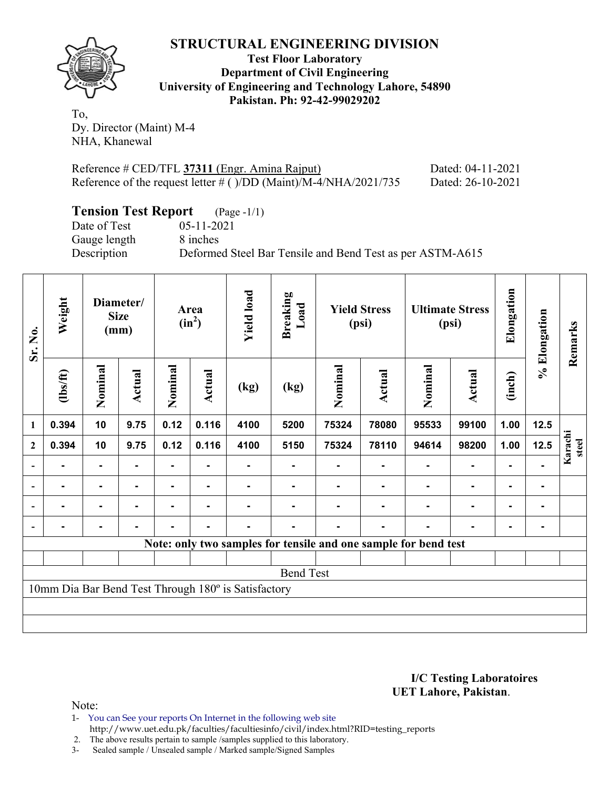

**Test Floor Laboratory Department of Civil Engineering University of Engineering and Technology Lahore, 54890 Pakistan. Ph: 92-42-99029202** 

To, Dy. Director (Maint) M-4 NHA, Khanewal

| Reference # CED/TFL 37311 (Engr. Amina Rajput)                       | Dated: 04-11-2021 |
|----------------------------------------------------------------------|-------------------|
| Reference of the request letter $\#$ ( )/DD (Maint)/M-4/NHA/2021/735 | Dated: 26-10-2021 |

# **Tension Test Report** (Page -1/1)

Gauge length 8 inches

Date of Test 05-11-2021 Description Deformed Steel Bar Tensile and Bend Test as per ASTM-A615

| Sr. No.        | Weight                                              |                | Diameter/<br><b>Size</b><br>(mm) |         | Area<br>$(in^2)$ |      | <b>Breaking</b><br>Load |         | <b>Yield Stress</b><br>(psi)                                    | <b>Ultimate Stress</b><br>(psi) |               | Elongation | Elongation     | Remarks          |
|----------------|-----------------------------------------------------|----------------|----------------------------------|---------|------------------|------|-------------------------|---------|-----------------------------------------------------------------|---------------------------------|---------------|------------|----------------|------------------|
| 1              | $\frac{2}{10}$                                      | Nominal        | Actual                           | Nominal | Actual           | (kg) | (kg)                    | Nominal | <b>Actual</b>                                                   | Nominal                         | <b>Actual</b> | (inch)     | $\geqslant$    |                  |
|                | 0.394                                               | 10             | 9.75                             | 0.12    | 0.116            | 4100 | 5200                    | 75324   | 78080                                                           | 95533                           | 99100         | 1.00       | $12.5$         |                  |
| $\mathbf{2}$   | 0.394                                               | 10             | 9.75                             | 0.12    | 0.116            | 4100 | 5150                    | 75324   | 78110                                                           | 94614                           | 98200         | 1.00       | $12.5$         | Karachi<br>steel |
|                |                                                     | ۰              |                                  | ۰       |                  |      |                         |         |                                                                 |                                 |               |            |                |                  |
| $\blacksquare$ |                                                     | $\blacksquare$ |                                  |         |                  |      |                         |         |                                                                 |                                 |               |            | ۰              |                  |
| $\overline{a}$ |                                                     | $\blacksquare$ | -                                |         | $\blacksquare$   |      |                         |         |                                                                 |                                 |               |            | $\blacksquare$ |                  |
|                | $\blacksquare$                                      | $\blacksquare$ |                                  |         | $\blacksquare$   |      |                         |         |                                                                 |                                 |               | ۰          | ۰              |                  |
|                |                                                     |                |                                  |         |                  |      |                         |         | Note: only two samples for tensile and one sample for bend test |                                 |               |            |                |                  |
|                |                                                     |                |                                  |         |                  |      |                         |         |                                                                 |                                 |               |            |                |                  |
|                |                                                     |                |                                  |         |                  |      | <b>Bend Test</b>        |         |                                                                 |                                 |               |            |                |                  |
|                | 10mm Dia Bar Bend Test Through 180° is Satisfactory |                |                                  |         |                  |      |                         |         |                                                                 |                                 |               |            |                |                  |
|                |                                                     |                |                                  |         |                  |      |                         |         |                                                                 |                                 |               |            |                |                  |
|                |                                                     |                |                                  |         |                  |      |                         |         |                                                                 |                                 |               |            |                |                  |

#### **I/C Testing Laboratoires UET Lahore, Pakistan**.

- 1- You can See your reports On Internet in the following web site http://www.uet.edu.pk/faculties/facultiesinfo/civil/index.html?RID=testing\_reports
- 2. The above results pertain to sample /samples supplied to this laboratory.
- 3- Sealed sample / Unsealed sample / Marked sample/Signed Samples